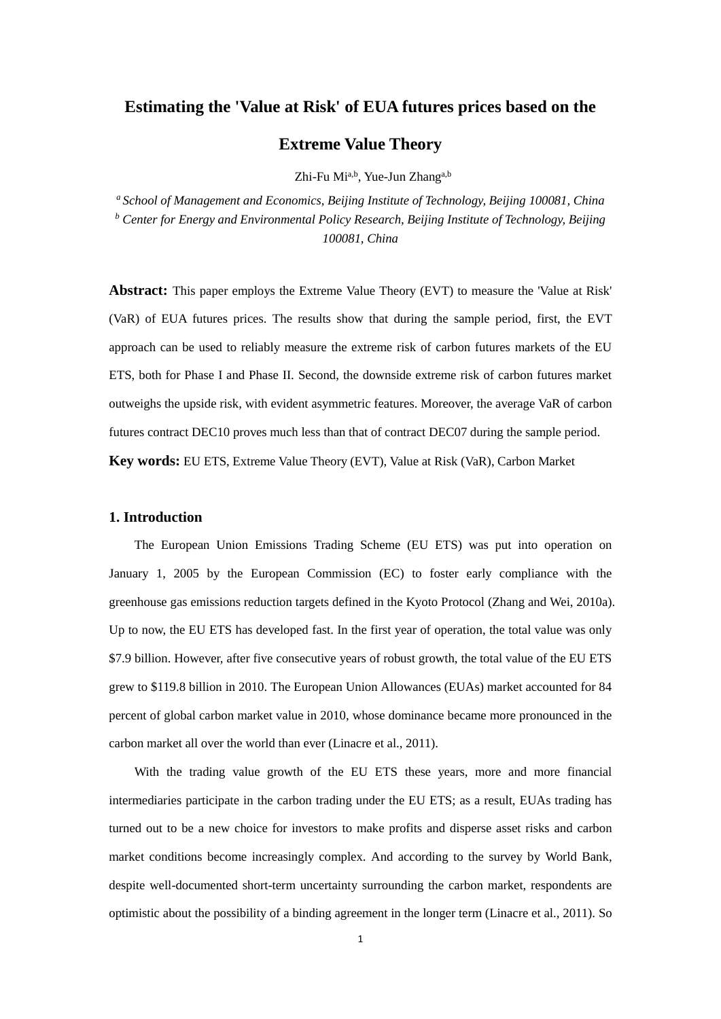# **Estimating the 'Value at Risk' of EUA futures prices based on the**

# **Extreme Value Theory**

Zhi-Fu Mi<sup>a,b</sup>, Yue-Jun Zhang<sup>a,b</sup>

*<sup>a</sup>School of Management and Economics, Beijing Institute of Technology, Beijing 100081, China <sup>b</sup> Center for Energy and Environmental Policy Research, Beijing Institute of Technology, Beijing 100081, China*

**Abstract:** This paper employs the Extreme Value Theory (EVT) to measure the 'Value at Risk' (VaR) of EUA futures prices. The results show that during the sample period, first, the EVT approach can be used to reliably measure the extreme risk of carbon futures markets of the EU ETS, both for Phase I and Phase II. Second, the downside extreme risk of carbon futures market outweighs the upside risk, with evident asymmetric features. Moreover, the average VaR of carbon futures contract DEC10 proves much less than that of contract DEC07 during the sample period. **Key words:** EU ETS, Extreme Value Theory (EVT), Value at Risk (VaR), Carbon Market

## **1. Introduction**

The European Union Emissions Trading Scheme (EU ETS) was put into operation on January 1, 2005 by the European Commission (EC) to foster early compliance with the greenhouse gas emissions reduction targets defined in the Kyoto Protocol (Zhang and Wei, 2010a). Up to now, the EU ETS has developed fast. In the first year of operation, the total value was only \$7.9 billion. However, after five consecutive years of robust growth, the total value of the EU ETS grew to \$119.8 billion in 2010. The European Union Allowances (EUAs) market accounted for 84 percent of global carbon market value in 2010, whose dominance became more pronounced in the carbon market all over the world than ever (Linacre et al., 2011).

With the trading value growth of the EU ETS these years, more and more financial intermediaries participate in the carbon trading under the EU ETS; as a result, EUAs trading has turned out to be a new choice for investors to make profits and disperse asset risks and carbon market conditions become increasingly complex. And according to the survey by World Bank, despite well-documented short-term uncertainty surrounding the carbon market, respondents are optimistic about the possibility of a binding agreement in the longer term (Linacre et al., 2011). So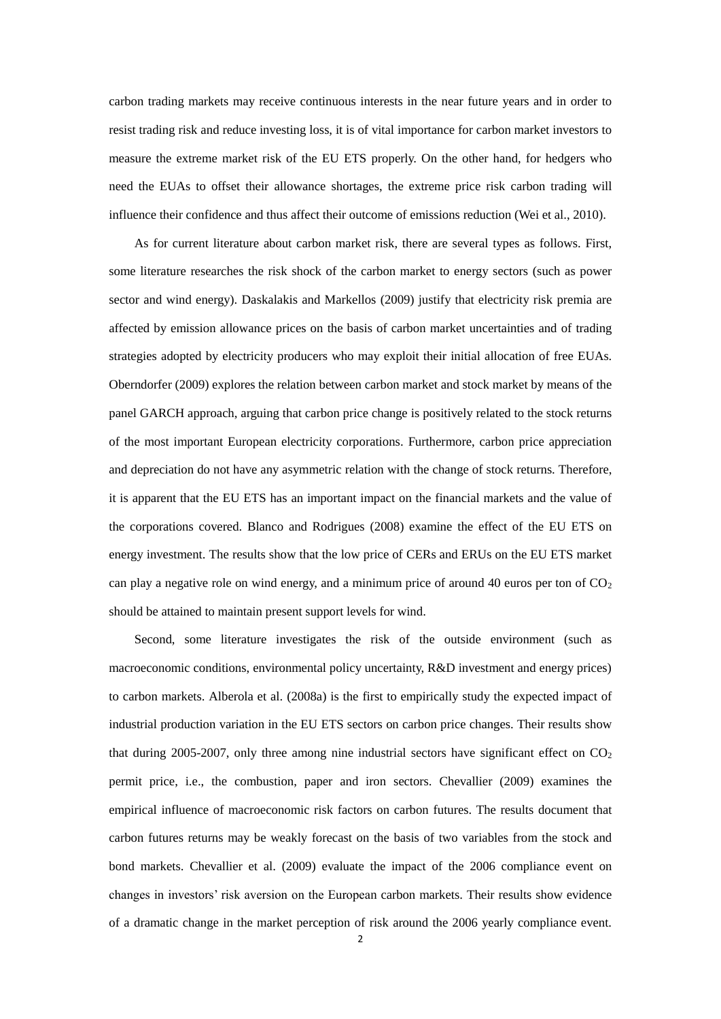carbon trading markets may receive continuous interests in the near future years and in order to resist trading risk and reduce investing loss, it is of vital importance for carbon market investors to measure the extreme market risk of the EU ETS properly. On the other hand, for hedgers who need the EUAs to offset their allowance shortages, the extreme price risk carbon trading will influence their confidence and thus affect their outcome of emissions reduction (Wei et al., 2010).

As for current literature about carbon market risk, there are several types as follows. First, some literature researches the risk shock of the carbon market to energy sectors (such as power sector and wind energy). Daskalakis and Markellos (2009) justify that electricity risk premia are affected by emission allowance prices on the basis of carbon market uncertainties and of trading strategies adopted by electricity producers who may exploit their initial allocation of free EUAs. Oberndorfer (2009) explores the relation between carbon market and stock market by means of the panel GARCH approach, arguing that carbon price change is positively related to the stock returns of the most important European electricity corporations. Furthermore, carbon price appreciation and depreciation do not have any asymmetric relation with the change of stock returns. Therefore, it is apparent that the EU ETS has an important impact on the financial markets and the value of the corporations covered. Blanco and Rodrigues (2008) examine the effect of the EU ETS on energy investment. The results show that the low price of CERs and ERUs on the EU ETS market can play a negative role on wind energy, and a minimum price of around 40 euros per ton of  $CO<sub>2</sub>$ should be attained to maintain present support levels for wind.

Second, some literature investigates the risk of the outside environment (such as macroeconomic conditions, environmental policy uncertainty, R&D investment and energy prices) to carbon markets. Alberola et al. (2008a) is the first to empirically study the expected impact of industrial production variation in the EU ETS sectors on carbon price changes. Their results show that during 2005-2007, only three among nine industrial sectors have significant effect on  $CO<sub>2</sub>$ permit price, i.e., the combustion, paper and iron sectors. Chevallier (2009) examines the empirical influence of macroeconomic risk factors on carbon futures. The results document that carbon futures returns may be weakly forecast on the basis of two variables from the stock and bond markets. Chevallier et al. (2009) evaluate the impact of the 2006 compliance event on changes in investors' risk aversion on the European carbon markets. Their results show evidence of a dramatic change in the market perception of risk around the 2006 yearly compliance event.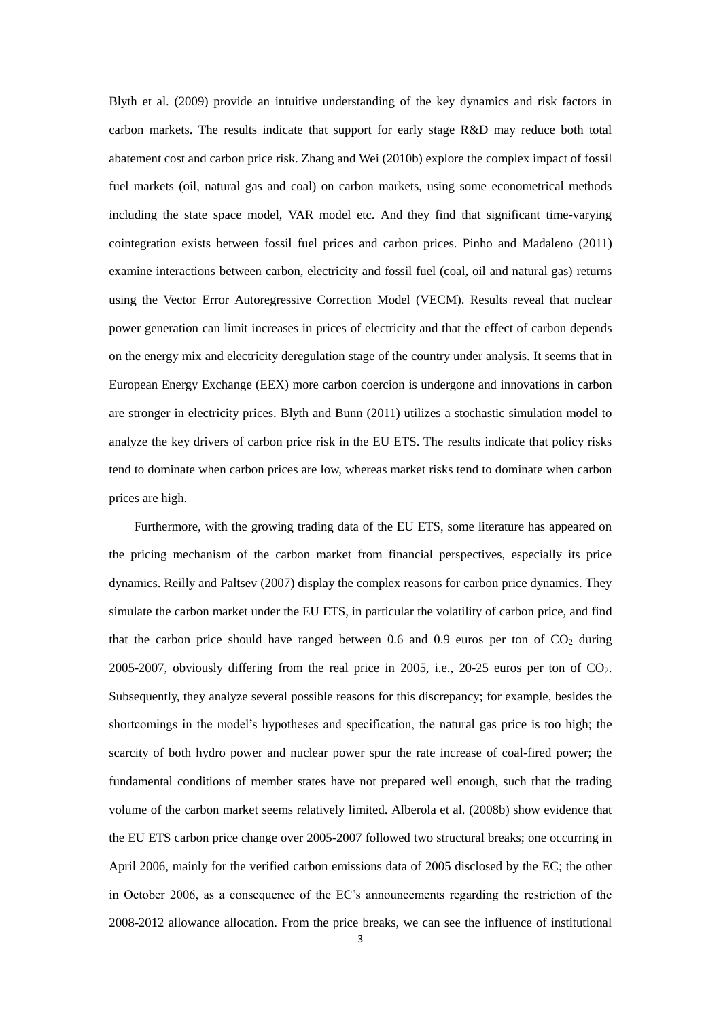Blyth et al. (2009) provide an intuitive understanding of the key dynamics and risk factors in carbon markets. The results indicate that support for early stage R&D may reduce both total abatement cost and carbon price risk. Zhang and Wei (2010b) explore the complex impact of fossil fuel markets (oil, natural gas and coal) on carbon markets, using some econometrical methods including the state space model, VAR model etc. And they find that significant time-varying cointegration exists between fossil fuel prices and carbon prices. Pinho and Madaleno (2011) examine interactions between carbon, electricity and fossil fuel (coal, oil and natural gas) returns using the Vector Error Autoregressive Correction Model (VECM). Results reveal that nuclear power generation can limit increases in prices of electricity and that the effect of carbon depends on the energy mix and electricity deregulation stage of the country under analysis. It seems that in European Energy Exchange (EEX) more carbon coercion is undergone and innovations in carbon are stronger in electricity prices. Blyth and Bunn (2011) utilizes a stochastic simulation model to analyze the key drivers of carbon price risk in the EU ETS. The results indicate that policy risks tend to dominate when carbon prices are low, whereas market risks tend to dominate when carbon prices are high.

Furthermore, with the growing trading data of the EU ETS, some literature has appeared on the pricing mechanism of the carbon market from financial perspectives, especially its price dynamics. Reilly and Paltsev (2007) display the complex reasons for carbon price dynamics. They simulate the carbon market under the EU ETS, in particular the volatility of carbon price, and find that the carbon price should have ranged between 0.6 and 0.9 euros per ton of  $CO<sub>2</sub>$  during 2005-2007, obviously differing from the real price in 2005, i.e., 20-25 euros per ton of CO2. Subsequently, they analyze several possible reasons for this discrepancy; for example, besides the shortcomings in the model's hypotheses and specification, the natural gas price is too high; the scarcity of both hydro power and nuclear power spur the rate increase of coal-fired power; the fundamental conditions of member states have not prepared well enough, such that the trading volume of the carbon market seems relatively limited. Alberola et al. (2008b) show evidence that the EU ETS carbon price change over 2005-2007 followed two structural breaks; one occurring in April 2006, mainly for the verified carbon emissions data of 2005 disclosed by the EC; the other in October 2006, as a consequence of the EC's announcements regarding the restriction of the 2008-2012 allowance allocation. From the price breaks, we can see the influence of institutional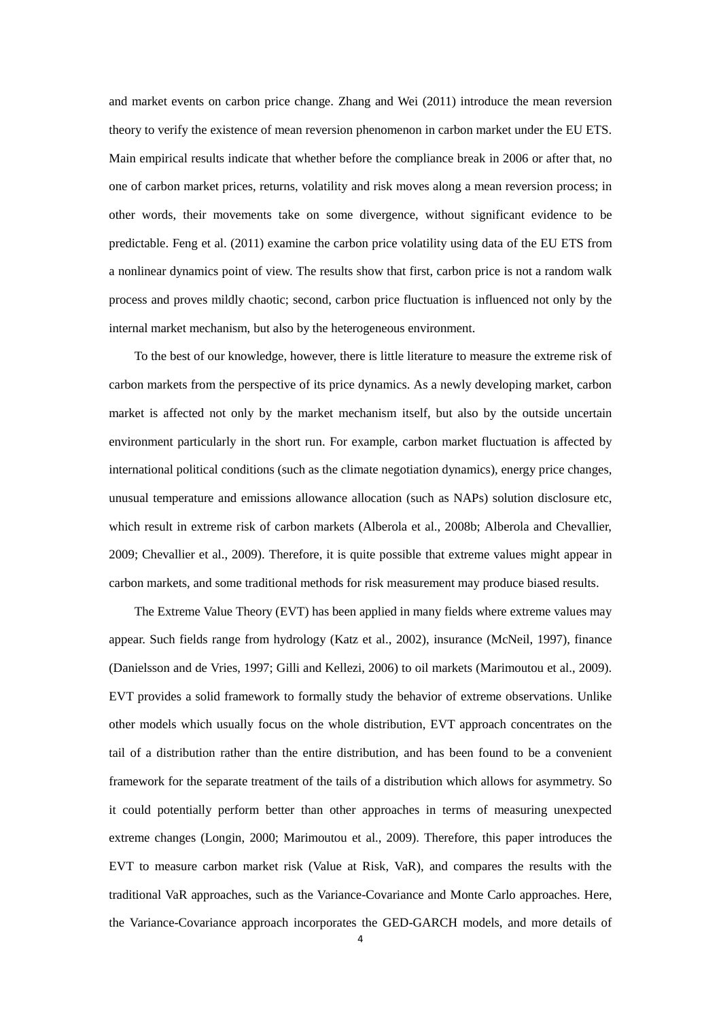and market events on carbon price change. Zhang and Wei (2011) introduce the mean reversion theory to verify the existence of mean reversion phenomenon in carbon market under the EU ETS. Main empirical results indicate that whether before the compliance break in 2006 or after that, no one of carbon market prices, returns, volatility and risk moves along a mean reversion process; in other words, their movements take on some divergence, without significant evidence to be predictable. Feng et al. (2011) examine the carbon price volatility using data of the EU ETS from a nonlinear dynamics point of view. The results show that first, carbon price is not a random walk process and proves mildly chaotic; second, carbon price fluctuation is influenced not only by the internal market mechanism, but also by the heterogeneous environment.

To the best of our knowledge, however, there is little literature to measure the extreme risk of carbon markets from the perspective of its price dynamics. As a newly developing market, carbon market is affected not only by the market mechanism itself, but also by the outside uncertain environment particularly in the short run. For example, carbon market fluctuation is affected by international political conditions (such as the climate negotiation dynamics), energy price changes, unusual temperature and emissions allowance allocation (such as NAPs) solution disclosure etc, which result in extreme risk of carbon markets (Alberola et al., 2008b; Alberola and Chevallier, 2009; Chevallier et al., 2009). Therefore, it is quite possible that extreme values might appear in carbon markets, and some traditional methods for risk measurement may produce biased results.

The Extreme Value Theory (EVT) has been applied in many fields where extreme values may appear. Such fields range from hydrology (Katz et al., 2002), insurance (McNeil, 1997), finance (Danielsson and de Vries, 1997; Gilli and Kellezi, 2006) to oil markets (Marimoutou et al., 2009). EVT provides a solid framework to formally study the behavior of extreme observations. Unlike other models which usually focus on the whole distribution, EVT approach concentrates on the tail of a distribution rather than the entire distribution, and has been found to be a convenient framework for the separate treatment of the tails of a distribution which allows for asymmetry. So it could potentially perform better than other approaches in terms of measuring unexpected extreme changes (Longin, 2000; Marimoutou et al., 2009). Therefore, this paper introduces the EVT to measure carbon market risk (Value at Risk, VaR), and compares the results with the traditional VaR approaches, such as the Variance-Covariance and Monte Carlo approaches. Here, the Variance-Covariance approach incorporates the GED-GARCH models, and more details of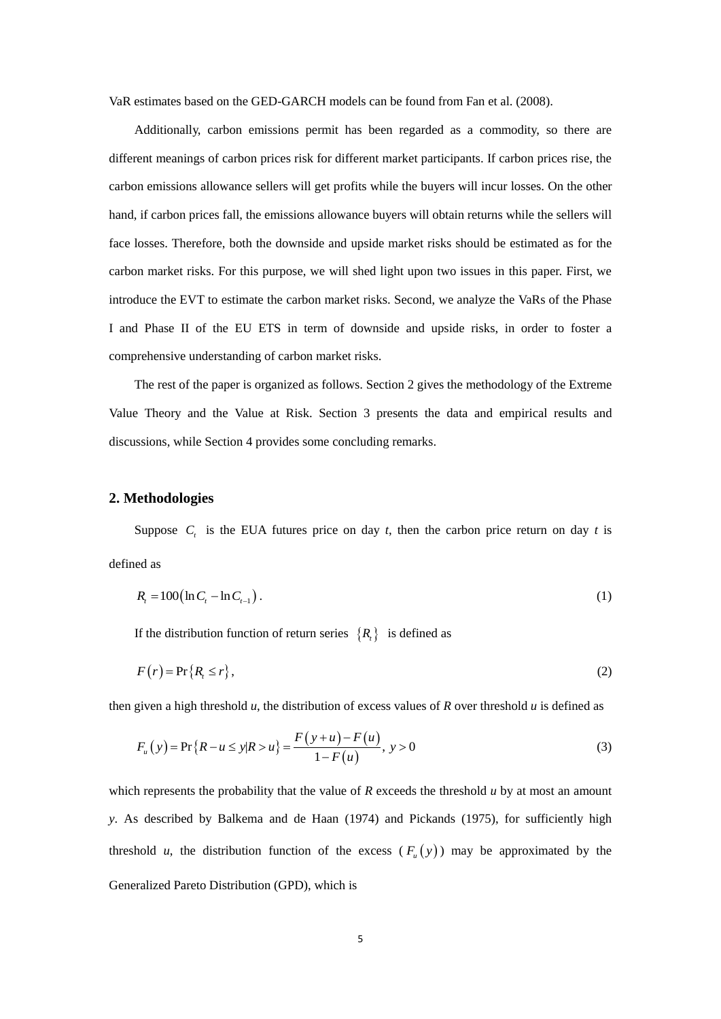VaR estimates based on the GED-GARCH models can be found from Fan et al. (2008).

Additionally, carbon emissions permit has been regarded as a commodity, so there are different meanings of carbon prices risk for different market participants. If carbon prices rise, the carbon emissions allowance sellers will get profits while the buyers will incur losses. On the other hand, if carbon prices fall, the emissions allowance buyers will obtain returns while the sellers will face losses. Therefore, both the downside and upside market risks should be estimated as for the carbon market risks. For this purpose, we will shed light upon two issues in this paper. First, we introduce the EVT to estimate the carbon market risks. Second, we analyze the VaRs of the Phase I and Phase II of the EU ETS in term of downside and upside risks, in order to foster a comprehensive understanding of carbon market risks.

The rest of the paper is organized as follows. Section 2 gives the methodology of the Extreme Value Theory and the Value at Risk. Section 3 presents the data and empirical results and discussions, while Section 4 provides some concluding remarks.

#### **2. Methodologies**

Suppose  $C_t$  is the EUA futures price on day *t*, then the carbon price return on day *t* is defined as

$$
R_{i} = 100(\ln C_{i} - \ln C_{i-1}).
$$
\n(1)

If the distribution function of return series  $\{R_{i}\}\$ is defined as

$$
F(r) = \Pr\{R_i \le r\},\tag{2}
$$

then given a high threshold *u*, the distribution of excess values of *R* over threshold *u* is defined as\n
$$
F_u(y) = \Pr\{R - u \le y | R > u\} = \frac{F(y + u) - F(u)}{1 - F(u)}, \quad y > 0 \tag{3}
$$

which represents the probability that the value of *R* exceeds the threshold *u* by at most an amount *y*. As described by Balkema and de Haan (1974) and Pickands (1975), for sufficiently high threshold *u*, the distribution function of the excess  $(F_u(y))$  may be approximated by the Generalized Pareto Distribution (GPD), which is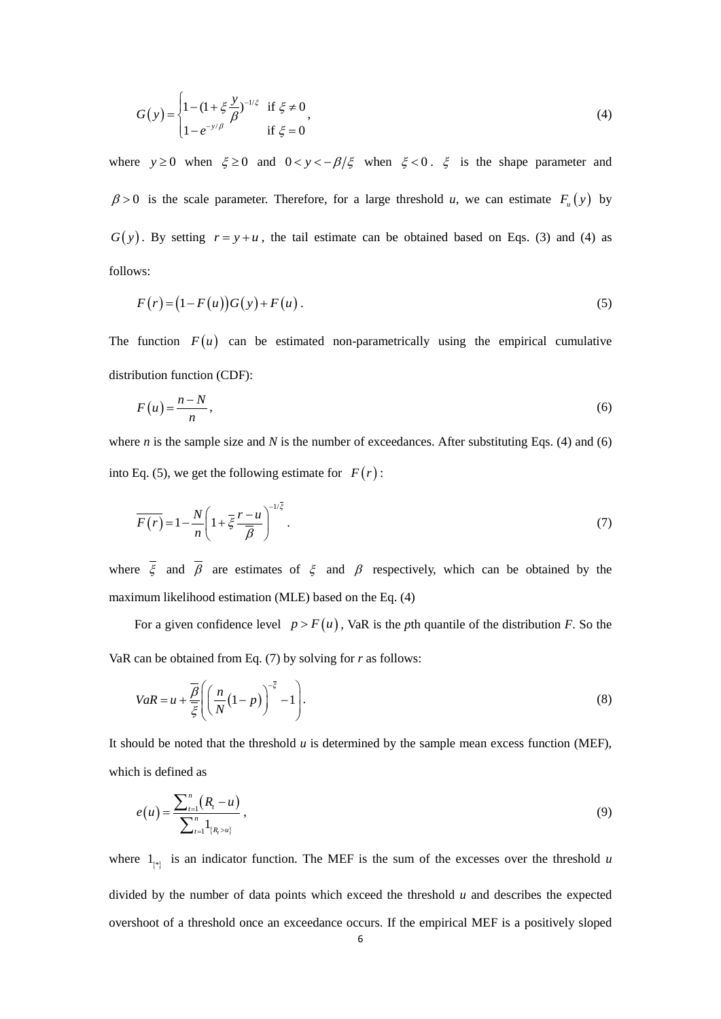$$
G(y) = \begin{cases} 1 - (1 + \xi \frac{y}{\beta})^{-1/\xi} & \text{if } \xi \neq 0 \\ 1 - e^{-y/\beta} & \text{if } \xi = 0 \end{cases}
$$
 (4)

where  $y \ge 0$  when  $\xi \ge 0$  and  $0 < y < -\beta/\xi$  when  $\xi < 0$ .  $\xi$  is the shape parameter and  $\beta > 0$  is the scale parameter. Therefore, for a large threshold *u*, we can estimate  $F_u(y)$  by  $G(y)$ . By setting  $r = y + u$ , the tail estimate can be obtained based on Eqs. (3) and (4) as follows:

$$
F(r) = (1 - F(u))G(y) + F(u).
$$
 (5)

The function  $F(u)$  can be estimated non-parametrically using the empirical cumulative distribution function (CDF):

$$
F(u) = \frac{n - N}{n},\tag{6}
$$

where *n* is the sample size and *N* is the number of exceedances. After substituting Eqs. (4) and (6) into Eq. (5), we get the following estimate for  $F(r)$ :

$$
\overline{F(r)} = 1 - \frac{N}{n} \left( 1 + \overline{\xi} \frac{r - u}{\overline{\beta}} \right)^{-1/\overline{\xi}}.
$$
\n(7)

where  $\xi$  and  $\beta$  are estimates of  $\xi$  and  $\beta$  respectively, which can be obtained by the maximum likelihood estimation (MLE) based on the Eq. (4)

For a given confidence level  $p > F(u)$ , VaR is the *p*th quantile of the distribution *F*. So the VaR can be obtained from Eq. (7) by solving for *r* as follows:

$$
VaR = u + \frac{\overline{\beta}}{\overline{\xi}} \left( \left( \frac{n}{N} (1 - p) \right)^{-\overline{\xi}} - 1 \right). \tag{8}
$$

It should be noted that the threshold *u* is determined by the sample mean excess function (MEF), which is defined as

$$
e(u) = \frac{\sum_{t=1}^{n} (R_t - u)}{\sum_{t=1}^{n} 1_{\{R_t > u\}}},
$$
\n(9)

where  $1_{\{*\}}$  is an indicator function. The MEF is the sum of the excesses over the threshold *u* divided by the number of data points which exceed the threshold *u* and describes the expected overshoot of a threshold once an exceedance occurs. If the empirical MEF is a positively sloped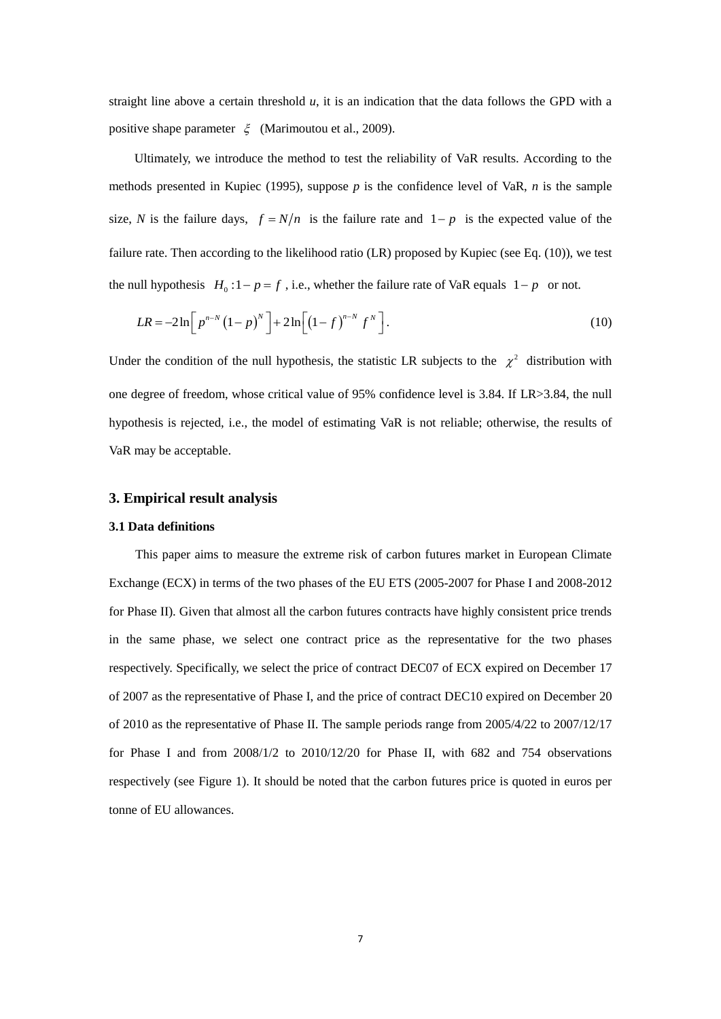straight line above a certain threshold  $u$ , it is an indication that the data follows the GPD with a positive shape parameter  $\xi$  (Marimoutou et al., 2009).

Ultimately, we introduce the method to test the reliability of VaR results. According to the methods presented in Kupiec (1995), suppose *p* is the confidence level of VaR, *n* is the sample size, N is the failure days,  $f = N/n$  is the failure rate and  $1-p$  is the expected value of the failure rate. Then according to the likelihood ratio (LR) proposed by Kupiec (see Eq. (10)), we test the null hypothesis  $H_0: 1-p = f$ , i.e., whether the failure rate of VaR equals  $1-p$  or not.

$$
LR = -2\ln\left[p^{n-N}\left(1-p\right)^{N}\right] + 2\ln\left[\left(1-f\right)^{n-N}f^{N}\right].
$$
\n(10)

Under the condition of the null hypothesis, the statistic LR subjects to the  $\chi^2$  distribution with one degree of freedom, whose critical value of 95% confidence level is 3.84. If LR>3.84, the null hypothesis is rejected, i.e., the model of estimating VaR is not reliable; otherwise, the results of VaR may be acceptable.

### **3. Empirical result analysis**

#### **3.1 Data definitions**

This paper aims to measure the extreme risk of carbon futures market in European Climate Exchange (ECX) in terms of the two phases of the EU ETS (2005-2007 for Phase I and 2008-2012 for Phase II). Given that almost all the carbon futures contracts have highly consistent price trends in the same phase, we select one contract price as the representative for the two phases respectively. Specifically, we select the price of contract DEC07 of ECX expired on December 17 of 2007 as the representative of Phase I, and the price of contract DEC10 expired on December 20 of 2010 as the representative of Phase II. The sample periods range from 2005/4/22 to 2007/12/17 for Phase I and from 2008/1/2 to 2010/12/20 for Phase II, with 682 and 754 observations respectively (see Figure 1). It should be noted that the carbon futures price is quoted in euros per tonne of EU allowances.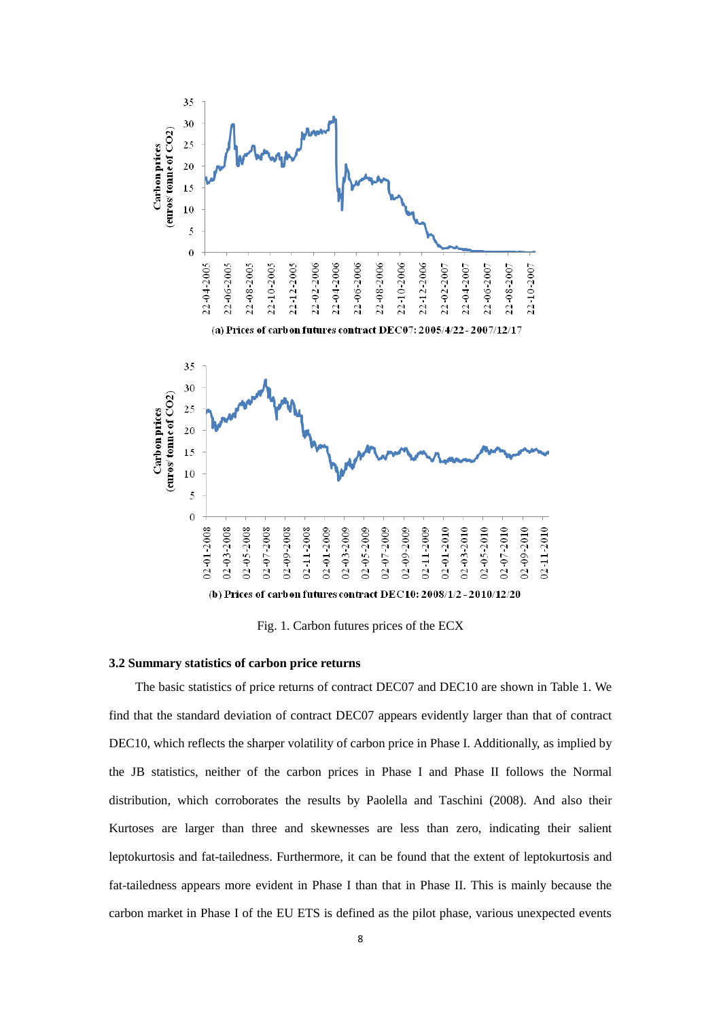

Fig. 1. Carbon futures prices of the ECX

#### **3.2 Summary statistics of carbon price returns**

The basic statistics of price returns of contract DEC07 and DEC10 are shown in Table 1. We find that the standard deviation of contract DEC07 appears evidently larger than that of contract DEC10, which reflects the sharper volatility of carbon price in Phase I. Additionally, as implied by the JB statistics, neither of the carbon prices in Phase I and Phase II follows the Normal distribution, which corroborates the results by Paolella and Taschini (2008). And also their Kurtoses are larger than three and skewnesses are less than zero, indicating their salient leptokurtosis and fat-tailedness. Furthermore, it can be found that the extent of leptokurtosis and fat-tailedness appears more evident in Phase I than that in Phase II. This is mainly because the carbon market in Phase I of the EU ETS is defined as the pilot phase, various unexpected events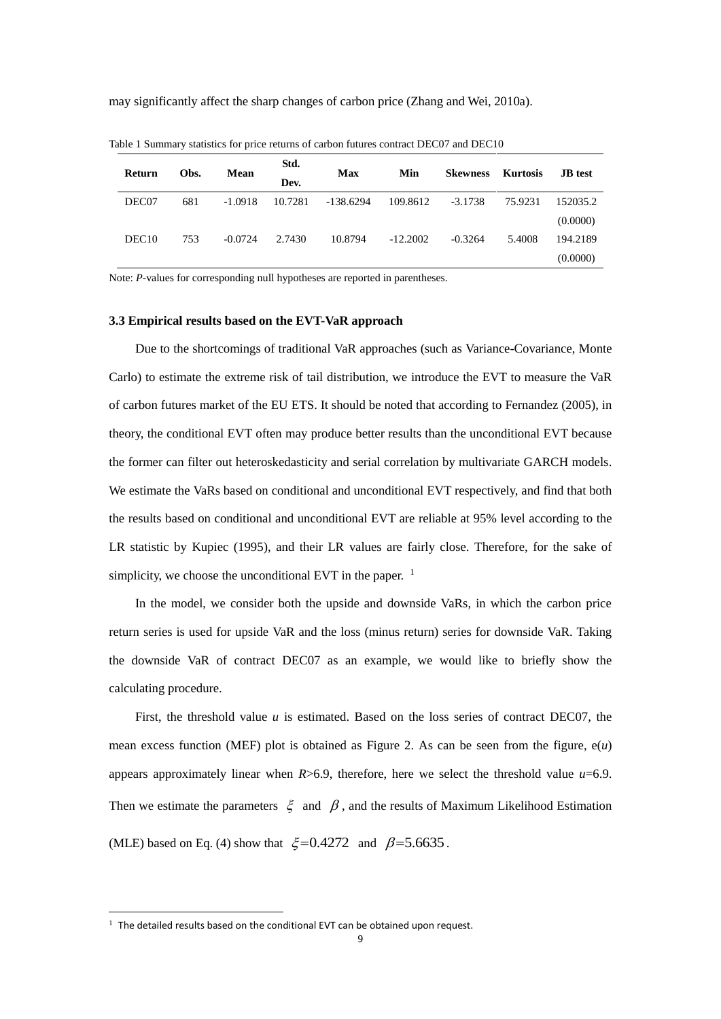may significantly affect the sharp changes of carbon price (Zhang and Wei, 2010a).

| Return            | Obs. | Mean      | Std.<br>Dev. | Max       | Min        | <b>Skewness</b> | Kurtosis | <b>JB</b> test |
|-------------------|------|-----------|--------------|-----------|------------|-----------------|----------|----------------|
| DEC07             | 681  | $-1.0918$ | 10.7281      | -138.6294 | 109.8612   | $-3.1738$       | 75.9231  | 152035.2       |
|                   |      |           |              |           |            |                 |          | (0.0000)       |
| DEC <sub>10</sub> | 753  | $-0.0724$ | 2.7430       | 10.8794   | $-12.2002$ | $-0.3264$       | 5.4008   | 194.2189       |
|                   |      |           |              |           |            |                 |          | (0.0000)       |

Table 1 Summary statistics for price returns of carbon futures contract DEC07 and DEC10

Note: *P*-values for corresponding null hypotheses are reported in parentheses.

#### **3.3 Empirical results based on the EVT-VaR approach**

Due to the shortcomings of traditional VaR approaches (such as Variance-Covariance, Monte Carlo) to estimate the extreme risk of tail distribution, we introduce the EVT to measure the VaR of carbon futures market of the EU ETS. It should be noted that according to Fernandez (2005), in theory, the conditional EVT often may produce better results than the unconditional EVT because the former can filter out heteroskedasticity and serial correlation by multivariate GARCH models. We estimate the VaRs based on conditional and unconditional EVT respectively, and find that both the results based on conditional and unconditional EVT are reliable at 95% level according to the LR statistic by Kupiec (1995), and their LR values are fairly close. Therefore, for the sake of simplicity, we choose the unconditional EVT in the paper. <sup>1</sup>

In the model, we consider both the upside and downside VaRs, in which the carbon price return series is used for upside VaR and the loss (minus return) series for downside VaR. Taking the downside VaR of contract DEC07 as an example, we would like to briefly show the calculating procedure.

First, the threshold value *u* is estimated. Based on the loss series of contract DEC07, the mean excess function (MEF) plot is obtained as Figure 2. As can be seen from the figure, e(*u*) appears approximately linear when *R*>6.9, therefore, here we select the threshold value *u*=6.9. Then we estimate the parameters  $\zeta$  and  $\beta$ , and the results of Maximum Likelihood Estimation (MLE) based on Eq. (4) show that  $\xi = 0.4272$  and  $\beta = 5.6635$ .

-

 $1$  The detailed results based on the conditional EVT can be obtained upon request.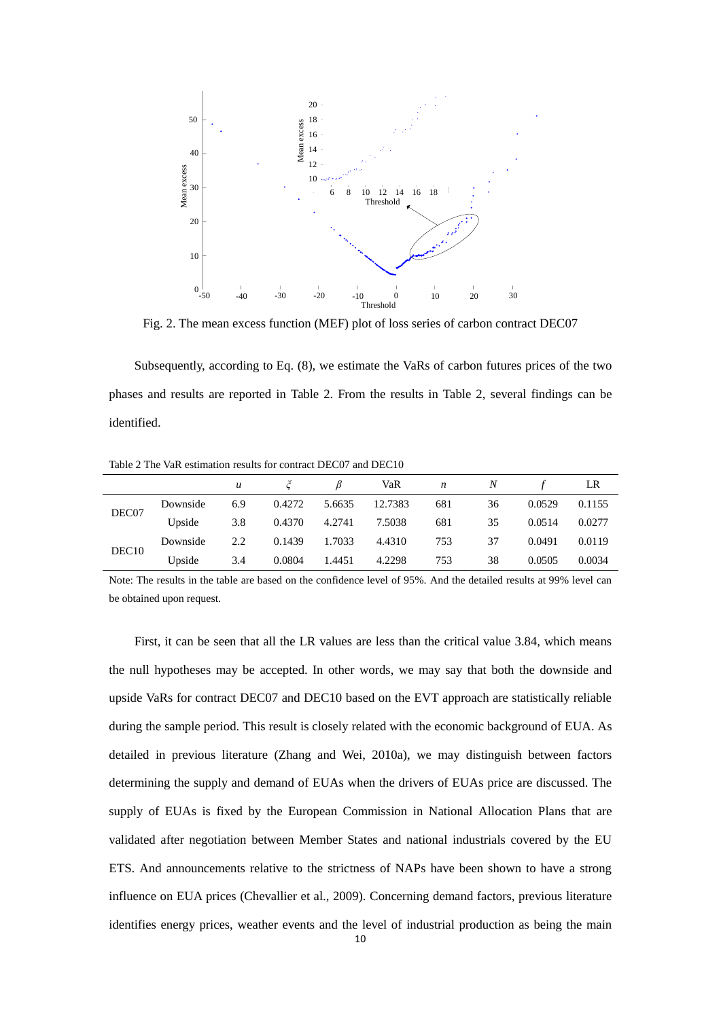

Fig. 2. The mean excess function (MEF) plot of loss series of carbon contract DEC07

Subsequently, according to Eq. (8), we estimate the VaRs of carbon futures prices of the two phases and results are reported in Table 2. From the results in Table 2, several findings can be identified.

Table 2 The VaR estimation results for contract DEC07 and DEC10

|                   |          | $\boldsymbol{u}$ |        |        | VaR     | $\boldsymbol{n}$ | N  |        | LR     |
|-------------------|----------|------------------|--------|--------|---------|------------------|----|--------|--------|
| DEC07             | Downside | 6.9              | 0.4272 | 5.6635 | 12.7383 | 681              | 36 | 0.0529 | 0.1155 |
|                   | Upside   | 3.8              | 0.4370 | 4.2741 | 7.5038  | 681              | 35 | 0.0514 | 0.0277 |
| DEC <sub>10</sub> | Downside | 2.2              | 0.1439 | 1.7033 | 4.4310  | 753              | 37 | 0.0491 | 0.0119 |
|                   | Upside   | 3.4              | 0.0804 | 1.4451 | 4.2298  | 753              | 38 | 0.0505 | 0.0034 |

Note: The results in the table are based on the confidence level of 95%. And the detailed results at 99% level can be obtained upon request.

First, it can be seen that all the LR values are less than the critical value 3.84, which means the null hypotheses may be accepted. In other words, we may say that both the downside and upside VaRs for contract DEC07 and DEC10 based on the EVT approach are statistically reliable during the sample period. This result is closely related with the economic background of EUA. As detailed in previous literature (Zhang and Wei, 2010a), we may distinguish between factors determining the supply and demand of EUAs when the drivers of EUAs price are discussed. The supply of EUAs is fixed by the European Commission in National Allocation Plans that are validated after negotiation between Member States and national industrials covered by the EU ETS. And announcements relative to the strictness of NAPs have been shown to have a strong influence on EUA prices (Chevallier et al., 2009). Concerning demand factors, previous literature identifies energy prices, weather events and the level of industrial production as being the main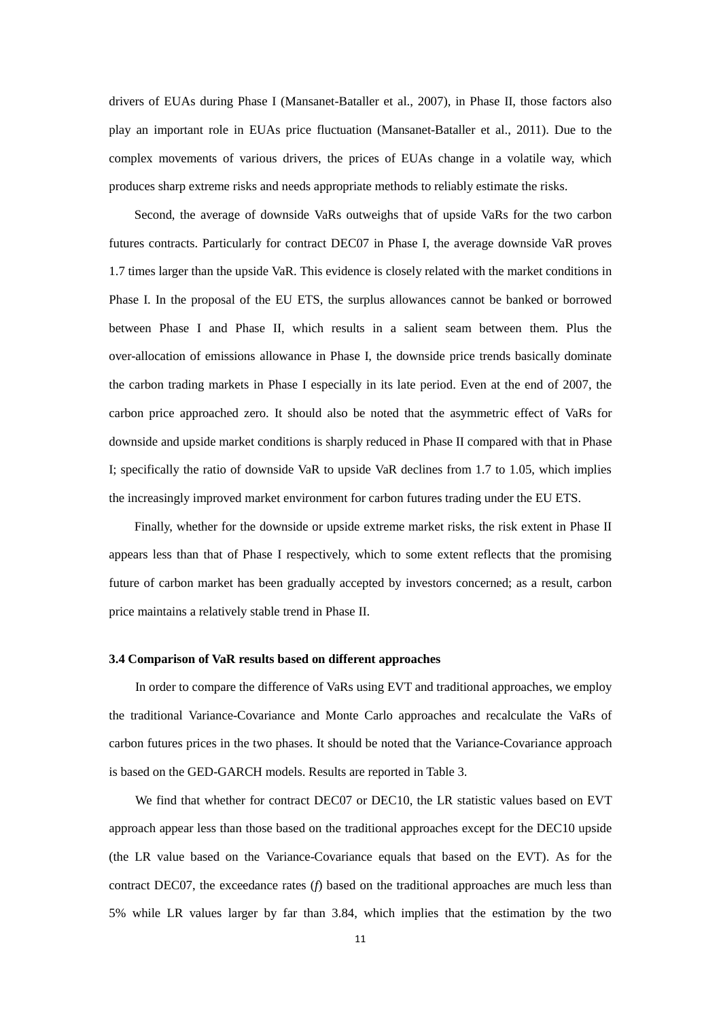drivers of EUAs during Phase I (Mansanet-Bataller et al., 2007), in Phase II, those factors also play an important role in EUAs price fluctuation (Mansanet-Bataller et al., 2011). Due to the complex movements of various drivers, the prices of EUAs change in a volatile way, which produces sharp extreme risks and needs appropriate methods to reliably estimate the risks.

Second, the average of downside VaRs outweighs that of upside VaRs for the two carbon futures contracts. Particularly for contract DEC07 in Phase I, the average downside VaR proves 1.7 times larger than the upside VaR. This evidence is closely related with the market conditions in Phase I. In the proposal of the EU ETS, the surplus allowances cannot be banked or borrowed between Phase I and Phase II, which results in a salient seam between them. Plus the over-allocation of emissions allowance in Phase I, the downside price trends basically dominate the carbon trading markets in Phase I especially in its late period. Even at the end of 2007, the carbon price approached zero. It should also be noted that the asymmetric effect of VaRs for downside and upside market conditions is sharply reduced in Phase II compared with that in Phase I; specifically the ratio of downside VaR to upside VaR declines from 1.7 to 1.05, which implies the increasingly improved market environment for carbon futures trading under the EU ETS.

Finally, whether for the downside or upside extreme market risks, the risk extent in Phase II appears less than that of Phase I respectively, which to some extent reflects that the promising future of carbon market has been gradually accepted by investors concerned; as a result, carbon price maintains a relatively stable trend in Phase II.

### **3.4 Comparison of VaR results based on different approaches**

In order to compare the difference of VaRs using EVT and traditional approaches, we employ the traditional Variance-Covariance and Monte Carlo approaches and recalculate the VaRs of carbon futures prices in the two phases. It should be noted that the Variance-Covariance approach is based on the GED-GARCH models. Results are reported in Table 3.

We find that whether for contract DEC07 or DEC10, the LR statistic values based on EVT approach appear less than those based on the traditional approaches except for the DEC10 upside (the LR value based on the Variance-Covariance equals that based on the EVT). As for the contract DEC07, the exceedance rates (*f*) based on the traditional approaches are much less than 5% while LR values larger by far than 3.84, which implies that the estimation by the two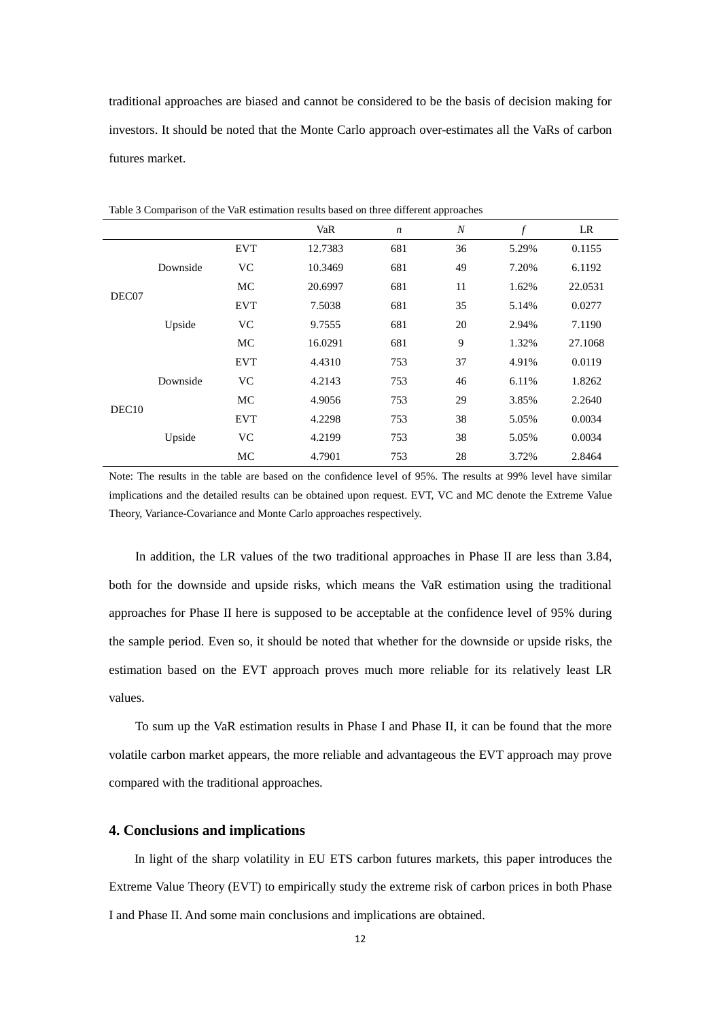traditional approaches are biased and cannot be considered to be the basis of decision making for investors. It should be noted that the Monte Carlo approach over-estimates all the VaRs of carbon futures market.

|                   |          |            | VaR     | $\boldsymbol{n}$ | $\boldsymbol{N}$ | $\boldsymbol{f}$ | LR      |
|-------------------|----------|------------|---------|------------------|------------------|------------------|---------|
| DEC07             | Downside | <b>EVT</b> | 12.7383 | 681              | 36               | 5.29%            | 0.1155  |
|                   |          | <b>VC</b>  | 10.3469 | 681              | 49               | 7.20%            | 6.1192  |
|                   |          | МC         | 20.6997 | 681              | 11               | 1.62%            | 22.0531 |
|                   | Upside   | <b>EVT</b> | 7.5038  | 681              | 35               | 5.14%            | 0.0277  |
|                   |          | <b>VC</b>  | 9.7555  | 681              | 20               | 2.94%            | 7.1190  |
|                   |          | MC         | 16.0291 | 681              | 9                | 1.32%            | 27.1068 |
| DEC <sub>10</sub> | Downside | <b>EVT</b> | 4.4310  | 753              | 37               | 4.91%            | 0.0119  |
|                   |          | <b>VC</b>  | 4.2143  | 753              | 46               | 6.11%            | 1.8262  |
|                   |          | МC         | 4.9056  | 753              | 29               | 3.85%            | 2.2640  |
|                   | Upside   | <b>EVT</b> | 4.2298  | 753              | 38               | 5.05%            | 0.0034  |
|                   |          | <b>VC</b>  | 4.2199  | 753              | 38               | 5.05%            | 0.0034  |
|                   |          | MC         | 4.7901  | 753              | 28               | 3.72%            | 2.8464  |

Table 3 Comparison of the VaR estimation results based on three different approaches

Note: The results in the table are based on the confidence level of 95%. The results at 99% level have similar implications and the detailed results can be obtained upon request. EVT, VC and MC denote the Extreme Value Theory, Variance-Covariance and Monte Carlo approaches respectively.

In addition, the LR values of the two traditional approaches in Phase II are less than 3.84, both for the downside and upside risks, which means the VaR estimation using the traditional approaches for Phase II here is supposed to be acceptable at the confidence level of 95% during the sample period. Even so, it should be noted that whether for the downside or upside risks, the estimation based on the EVT approach proves much more reliable for its relatively least LR values.

To sum up the VaR estimation results in Phase I and Phase II, it can be found that the more volatile carbon market appears, the more reliable and advantageous the EVT approach may prove compared with the traditional approaches.

## **4. Conclusions and implications**

 In light of the sharp volatility in EU ETS carbon futures markets, this paper introduces the Extreme Value Theory (EVT) to empirically study the extreme risk of carbon prices in both Phase I and Phase II. And some main conclusions and implications are obtained.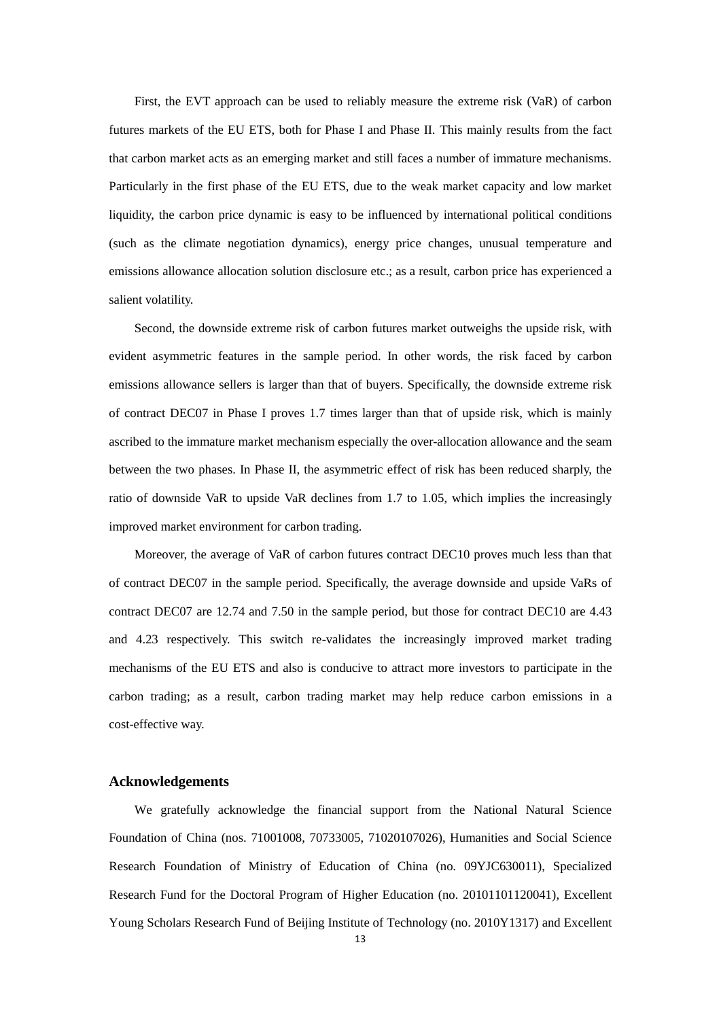First, the EVT approach can be used to reliably measure the extreme risk (VaR) of carbon futures markets of the EU ETS, both for Phase I and Phase II. This mainly results from the fact that carbon market acts as an emerging market and still faces a number of immature mechanisms. Particularly in the first phase of the EU ETS, due to the weak market capacity and low market liquidity, the carbon price dynamic is easy to be influenced by international political conditions (such as the climate negotiation dynamics), energy price changes, unusual temperature and emissions allowance allocation solution disclosure etc.; as a result, carbon price has experienced a salient volatility.

Second, the downside extreme risk of carbon futures market outweighs the upside risk, with evident asymmetric features in the sample period. In other words, the risk faced by carbon emissions allowance sellers is larger than that of buyers. Specifically, the downside extreme risk of contract DEC07 in Phase I proves 1.7 times larger than that of upside risk, which is mainly ascribed to the immature market mechanism especially the over-allocation allowance and the seam between the two phases. In Phase II, the asymmetric effect of risk has been reduced sharply, the ratio of downside VaR to upside VaR declines from 1.7 to 1.05, which implies the increasingly improved market environment for carbon trading.

Moreover, the average of VaR of carbon futures contract DEC10 proves much less than that of contract DEC07 in the sample period. Specifically, the average downside and upside VaRs of contract DEC07 are 12.74 and 7.50 in the sample period, but those for contract DEC10 are 4.43 and 4.23 respectively. This switch re-validates the increasingly improved market trading mechanisms of the EU ETS and also is conducive to attract more investors to participate in the carbon trading; as a result, carbon trading market may help reduce carbon emissions in a cost-effective way.

### **Acknowledgements**

We gratefully acknowledge the financial support from the National Natural Science Foundation of China (nos. 71001008, 70733005, 71020107026), Humanities and Social Science Research Foundation of Ministry of Education of China (no. 09YJC630011), Specialized Research Fund for the Doctoral Program of Higher Education (no. 20101101120041), Excellent Young Scholars Research Fund of Beijing Institute of Technology (no. 2010Y1317) and Excellent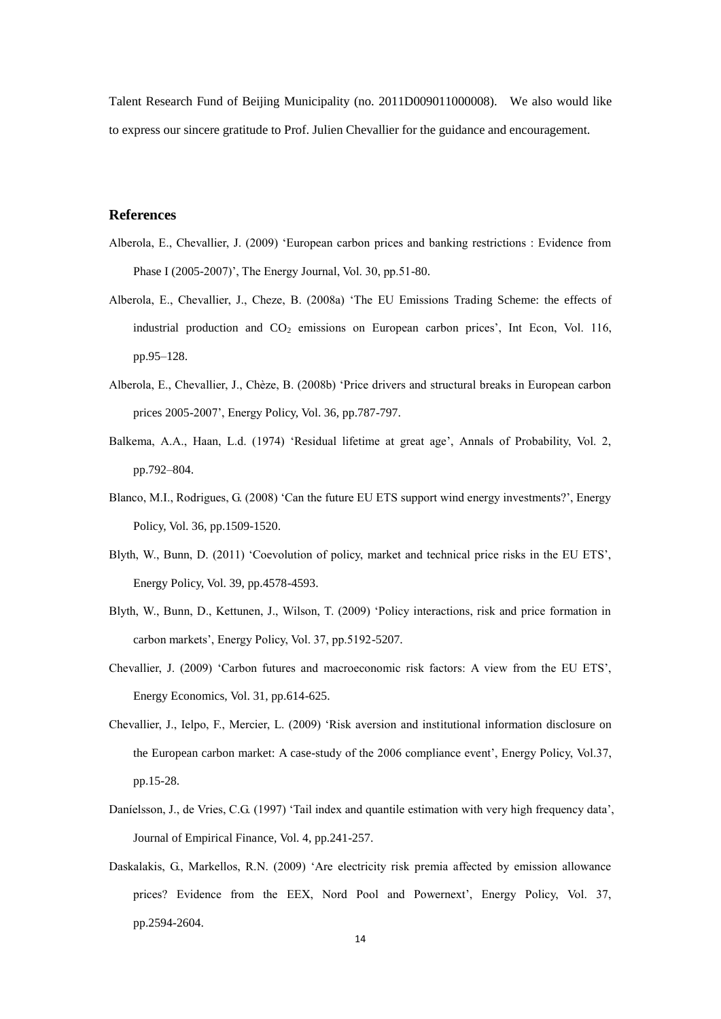Talent Research Fund of Beijing Municipality (no. 2011D009011000008). We also would like to express our sincere gratitude to Prof. Julien Chevallier for the guidance and encouragement.

## **References**

- Alberola, E., Chevallier, J. (2009) 'European carbon prices and banking restrictions : Evidence from Phase I (2005-2007)', The Energy Journal, Vol. 30, pp.51-80.
- Alberola, E., Chevallier, J., Cheze, B. (2008a) 'The EU Emissions Trading Scheme: the effects of industrial production and  $CO<sub>2</sub>$  emissions on European carbon prices', Int Econ, Vol. 116, pp.95–128.
- Alberola, E., Chevallier, J., Chèze, B. (2008b) 'Price drivers and structural breaks in European carbon prices 2005-2007', Energy Policy, Vol. 36, pp.787-797.
- Balkema, A.A., Haan, L.d. (1974) 'Residual lifetime at great age', Annals of Probability, Vol. 2, pp.792–804.
- Blanco, M.I., Rodrigues, G. (2008) 'Can the future EU ETS support wind energy investments?', Energy Policy, Vol. 36, pp.1509-1520.
- Blyth, W., Bunn, D. (2011) 'Coevolution of policy, market and technical price risks in the EU ETS', Energy Policy, Vol. 39, pp.4578-4593.
- Blyth, W., Bunn, D., Kettunen, J., Wilson, T. (2009) 'Policy interactions, risk and price formation in carbon markets', Energy Policy, Vol. 37, pp.5192-5207.
- Chevallier, J. (2009) 'Carbon futures and macroeconomic risk factors: A view from the EU ETS', Energy Economics, Vol. 31, pp.614-625.
- Chevallier, J., Ielpo, F., Mercier, L. (2009) 'Risk aversion and institutional information disclosure on the European carbon market: A case-study of the 2006 compliance event', Energy Policy, Vol.37, pp.15-28.
- Daníelsson, J., de Vries, C.G. (1997) 'Tail index and quantile estimation with very high frequency data', Journal of Empirical Finance, Vol. 4, pp.241-257.
- Daskalakis, G., Markellos, R.N. (2009) 'Are electricity risk premia affected by emission allowance prices? Evidence from the EEX, Nord Pool and Powernext', Energy Policy, Vol. 37, pp.2594-2604.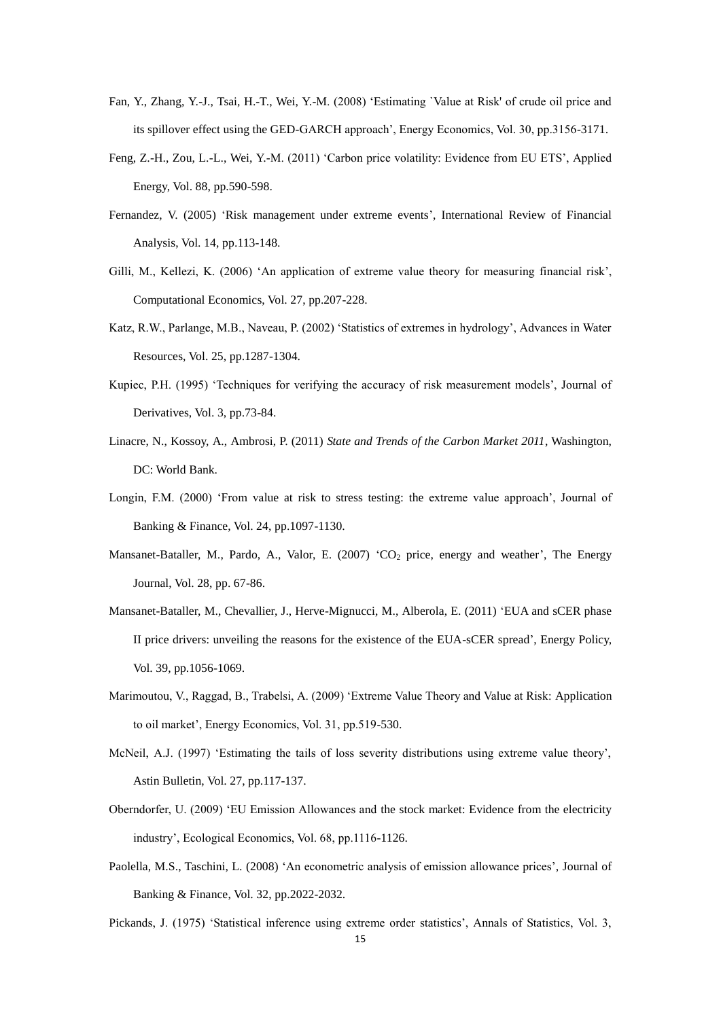- Fan, Y., Zhang, Y.-J., Tsai, H.-T., Wei, Y.-M. (2008) 'Estimating `Value at Risk' of crude oil price and its spillover effect using the GED-GARCH approach', Energy Economics, Vol. 30, pp.3156-3171.
- Feng, Z.-H., Zou, L.-L., Wei, Y.-M. (2011) 'Carbon price volatility: Evidence from EU ETS', Applied Energy, Vol. 88, pp.590-598.
- Fernandez, V. (2005) 'Risk management under extreme events', International Review of Financial Analysis, Vol. 14, pp.113-148.
- Gilli, M., Kellezi, K. (2006) 'An application of extreme value theory for measuring financial risk', Computational Economics, Vol. 27, pp.207-228.
- Katz, R.W., Parlange, M.B., Naveau, P. (2002) 'Statistics of extremes in hydrology', Advances in Water Resources, Vol. 25, pp.1287-1304.
- Kupiec, P.H. (1995) 'Techniques for verifying the accuracy of risk measurement models', Journal of Derivatives, Vol. 3, pp.73-84.
- Linacre, N., Kossoy, A., Ambrosi, P. (2011) *State and Trends of the Carbon Market 2011*, Washington, DC: World Bank.
- Longin, F.M. (2000) 'From value at risk to stress testing: the extreme value approach', Journal of Banking & Finance, Vol. 24, pp.1097-1130.
- Mansanet-Bataller, M., Pardo, A., Valor, E. (2007) 'CO<sub>2</sub> price, energy and weather', The Energy Journal, Vol. 28, pp. 67-86.
- Mansanet-Bataller, M., Chevallier, J., Herve-Mignucci, M., Alberola, E. (2011) 'EUA and sCER phase II price drivers: unveiling the reasons for the existence of the EUA-sCER spread', Energy Policy, Vol. 39, pp.1056-1069.
- Marimoutou, V., Raggad, B., Trabelsi, A. (2009) 'Extreme Value Theory and Value at Risk: Application to oil market', Energy Economics, Vol. 31, pp.519-530.
- McNeil, A.J. (1997) 'Estimating the tails of loss severity distributions using extreme value theory', Astin Bulletin, Vol. 27, pp.117-137.
- Oberndorfer, U. (2009) 'EU Emission Allowances and the stock market: Evidence from the electricity industry', Ecological Economics, Vol. 68, pp.1116-1126.
- Paolella, M.S., Taschini, L. (2008) 'An econometric analysis of emission allowance prices', Journal of Banking & Finance, Vol. 32, pp.2022-2032.
- Pickands, J. (1975) 'Statistical inference using extreme order statistics', Annals of Statistics, Vol. 3,